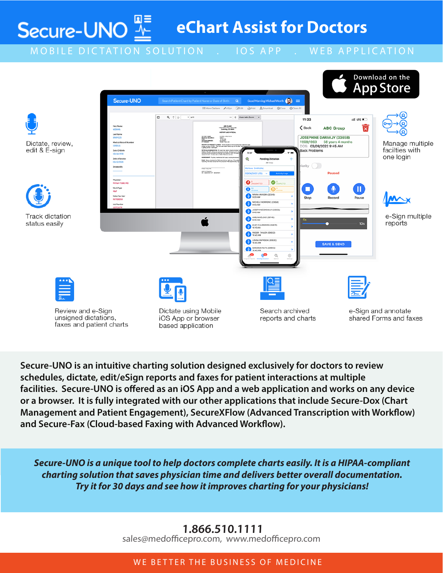**eChart Assist for Doctors**

MOBILE DICTATION SOLUTION . IOS APP . WEB APPLICATION

Secure-UNO $\frac{w}{\Delta}$ 



**Secure-UNO is an intuitive charting solution designed exclusively for doctors to review schedules, dictate, edit/eSign reports and faxes for patient interactions at multiple facilities. Secure-UNO is offered as an iOS App and a web application and works on any device or a browser. It is fully integrated with our other applications that include Secure-Dox (Chart Management and Patient Engagement), SecureXFlow (Advanced Transcription with Workflow) and Secure-Fax (Cloud-based Faxing with Advanced Workflow).**

*Secure-UNO is a unique tool to help doctors complete charts easily. It is a HIPAA-compliant charting solution that saves physician time and delivers better overall documentation. Try it for 30 days and see how it improves charting for your physicians!*

# **1.866.510.1111**

sales@medofficepro.com, www.medofficepro.com

### WE BETTER THE BUSINESS OF MEDICINE